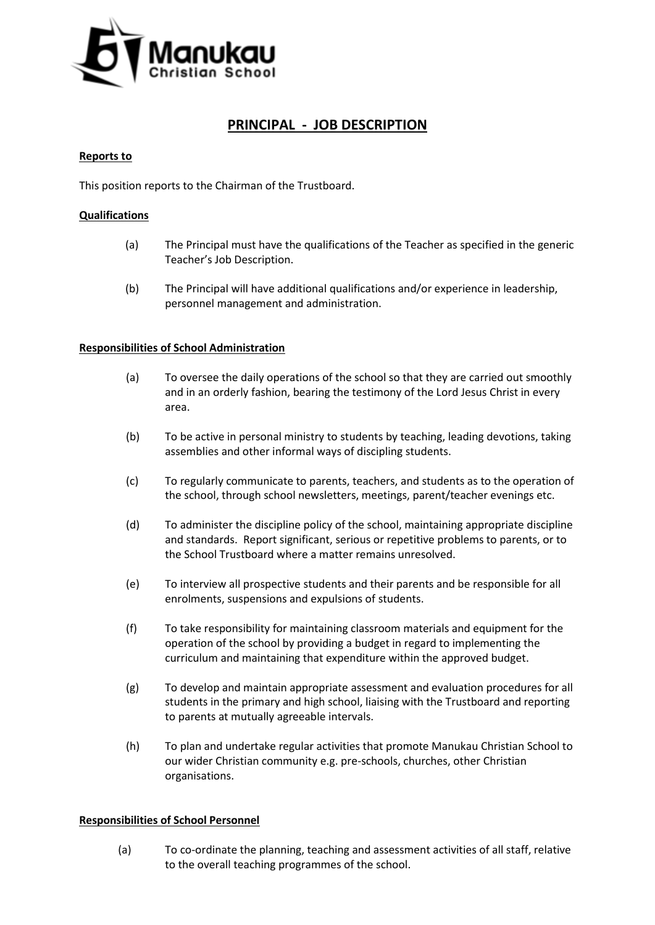

# **PRINCIPAL - JOB DESCRIPTION**

#### **Reports to**

This position reports to the Chairman of the Trustboard.

### **Qualifications**

- (a) The Principal must have the qualifications of the Teacher as specified in the generic Teacher's Job Description.
- (b) The Principal will have additional qualifications and/or experience in leadership, personnel management and administration.

#### **Responsibilities of School Administration**

- (a) To oversee the daily operations of the school so that they are carried out smoothly and in an orderly fashion, bearing the testimony of the Lord Jesus Christ in every area.
- (b) To be active in personal ministry to students by teaching, leading devotions, taking assemblies and other informal ways of discipling students.
- (c) To regularly communicate to parents, teachers, and students as to the operation of the school, through school newsletters, meetings, parent/teacher evenings etc.
- (d) To administer the discipline policy of the school, maintaining appropriate discipline and standards. Report significant, serious or repetitive problems to parents, or to the School Trustboard where a matter remains unresolved.
- (e) To interview all prospective students and their parents and be responsible for all enrolments, suspensions and expulsions of students.
- (f) To take responsibility for maintaining classroom materials and equipment for the operation of the school by providing a budget in regard to implementing the curriculum and maintaining that expenditure within the approved budget.
- (g) To develop and maintain appropriate assessment and evaluation procedures for all students in the primary and high school, liaising with the Trustboard and reporting to parents at mutually agreeable intervals.
- (h) To plan and undertake regular activities that promote Manukau Christian School to our wider Christian community e.g. pre-schools, churches, other Christian organisations.

#### **Responsibilities of School Personnel**

(a) To co-ordinate the planning, teaching and assessment activities of all staff, relative to the overall teaching programmes of the school.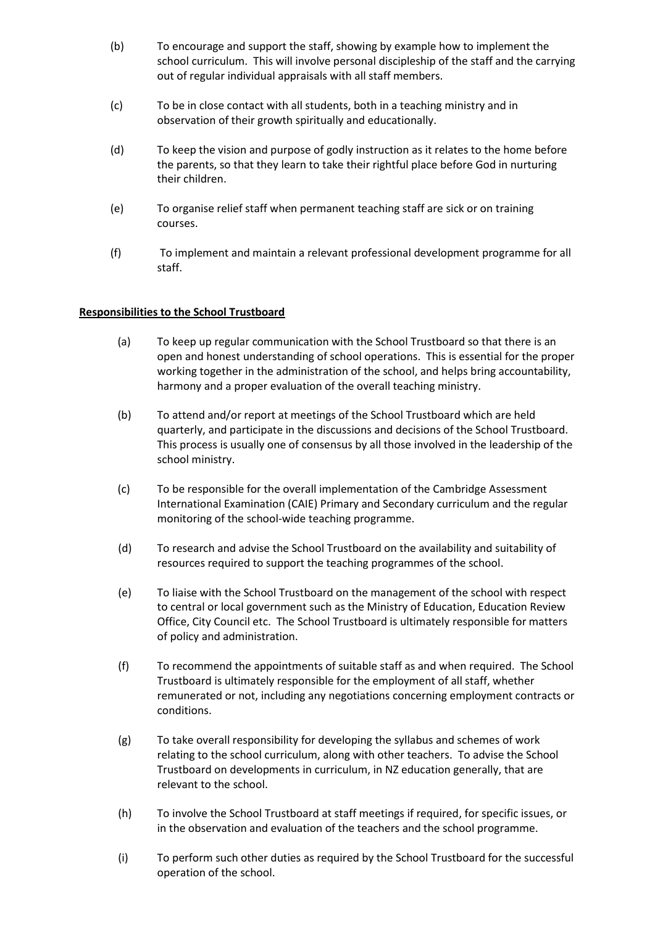- (b) To encourage and support the staff, showing by example how to implement the school curriculum. This will involve personal discipleship of the staff and the carrying out of regular individual appraisals with all staff members.
- (c) To be in close contact with all students, both in a teaching ministry and in observation of their growth spiritually and educationally.
- (d) To keep the vision and purpose of godly instruction as it relates to the home before the parents, so that they learn to take their rightful place before God in nurturing their children.
- (e) To organise relief staff when permanent teaching staff are sick or on training courses.
- (f) To implement and maintain a relevant professional development programme for all staff.

## **Responsibilities to the School Trustboard**

- (a) To keep up regular communication with the School Trustboard so that there is an open and honest understanding of school operations. This is essential for the proper working together in the administration of the school, and helps bring accountability, harmony and a proper evaluation of the overall teaching ministry.
- (b) To attend and/or report at meetings of the School Trustboard which are held quarterly, and participate in the discussions and decisions of the School Trustboard. This process is usually one of consensus by all those involved in the leadership of the school ministry.
- (c) To be responsible for the overall implementation of the Cambridge Assessment International Examination (CAIE) Primary and Secondary curriculum and the regular monitoring of the school-wide teaching programme.
- (d) To research and advise the School Trustboard on the availability and suitability of resources required to support the teaching programmes of the school.
- (e) To liaise with the School Trustboard on the management of the school with respect to central or local government such as the Ministry of Education, Education Review Office, City Council etc. The School Trustboard is ultimately responsible for matters of policy and administration.
- (f) To recommend the appointments of suitable staff as and when required. The School Trustboard is ultimately responsible for the employment of all staff, whether remunerated or not, including any negotiations concerning employment contracts or conditions.
- (g) To take overall responsibility for developing the syllabus and schemes of work relating to the school curriculum, along with other teachers. To advise the School Trustboard on developments in curriculum, in NZ education generally, that are relevant to the school.
- (h) To involve the School Trustboard at staff meetings if required, for specific issues, or in the observation and evaluation of the teachers and the school programme.
- (i) To perform such other duties as required by the School Trustboard for the successful operation of the school.